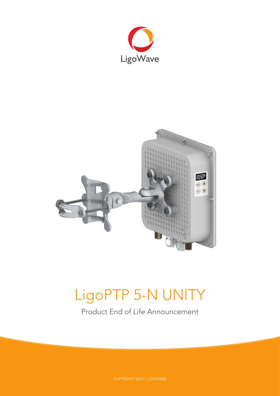



# LigoPTP 5-N UNITY

Product End of Life Announcement

COPYRIGHT ©2017 LIGOWAVE